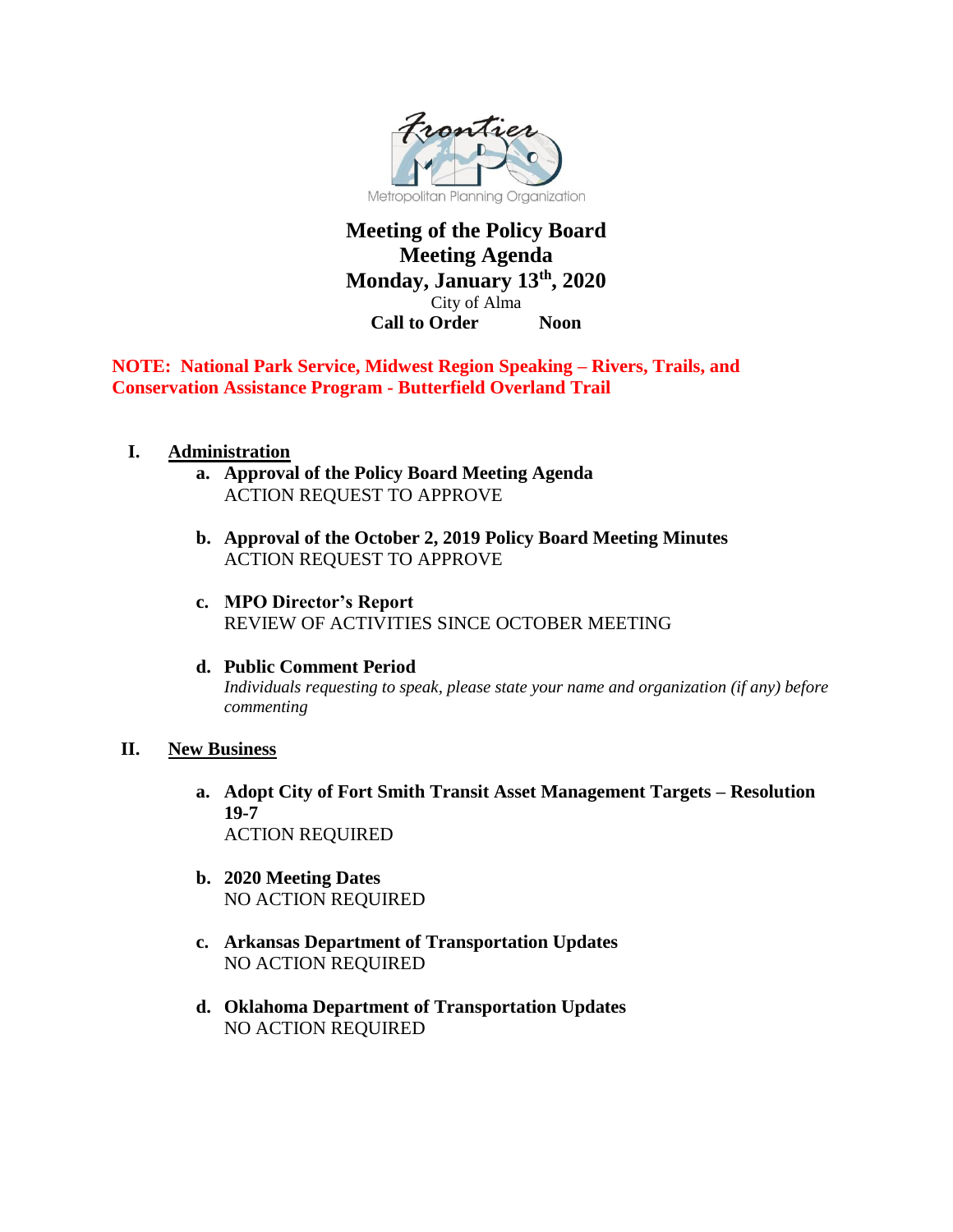

## **Meeting of the Policy Board Meeting Agenda Monday, January 13th, 2020** City of Alma **Call to Order Noon**

**NOTE: National Park Service, Midwest Region Speaking – Rivers, Trails, and Conservation Assistance Program - Butterfield Overland Trail**

## **I. Administration**

- **a. Approval of the Policy Board Meeting Agenda** ACTION REQUEST TO APPROVE
- **b. Approval of the October 2, 2019 Policy Board Meeting Minutes**  ACTION REQUEST TO APPROVE
- **c. MPO Director's Report**  REVIEW OF ACTIVITIES SINCE OCTOBER MEETING
- **d. Public Comment Period** *Individuals requesting to speak, please state your name and organization (if any) before commenting*

## **II. New Business**

- **a. Adopt City of Fort Smith Transit Asset Management Targets – Resolution 19-7** ACTION REQUIRED
- **b. 2020 Meeting Dates** NO ACTION REQUIRED
- **c. Arkansas Department of Transportation Updates** NO ACTION REQUIRED
- **d. Oklahoma Department of Transportation Updates**  NO ACTION REQUIRED